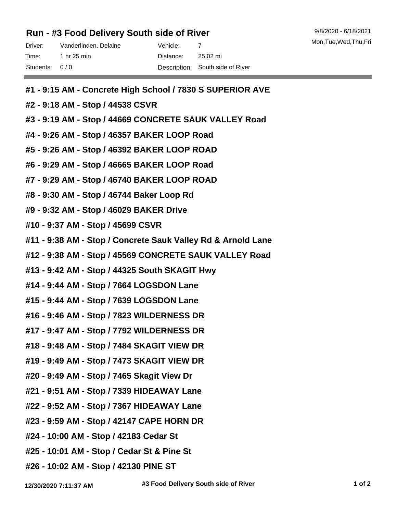## **Run - #3 Food Delivery South side of River**

| Driver:       | Vanderlinden, Delaine | Vehicle: - |                                  |
|---------------|-----------------------|------------|----------------------------------|
| Time:         | 1 hr 25 min           | Distance:  | 25.02 mi                         |
| Students: 0/0 |                       |            | Description: South side of River |

- **#1 9:15 AM Concrete High School / 7830 S SUPERIOR AVE**
- **#2 9:18 AM Stop / 44538 CSVR**
- **#3 9:19 AM Stop / 44669 CONCRETE SAUK VALLEY Road**
- **#4 9:26 AM Stop / 46357 BAKER LOOP Road**
- **#5 9:26 AM Stop / 46392 BAKER LOOP ROAD**
- **#6 9:29 AM Stop / 46665 BAKER LOOP Road**
- **#7 9:29 AM Stop / 46740 BAKER LOOP ROAD**
- **#8 9:30 AM Stop / 46744 Baker Loop Rd**
- **#9 9:32 AM Stop / 46029 BAKER Drive**
- **#10 9:37 AM Stop / 45699 CSVR**
- **#11 9:38 AM Stop / Concrete Sauk Valley Rd & Arnold Lane**
- **#12 9:38 AM Stop / 45569 CONCRETE SAUK VALLEY Road**
- **#13 9:42 AM Stop / 44325 South SKAGIT Hwy**
- **#14 9:44 AM Stop / 7664 LOGSDON Lane**
- **#15 9:44 AM Stop / 7639 LOGSDON Lane**
- **#16 9:46 AM Stop / 7823 WILDERNESS DR**
- **#17 9:47 AM Stop / 7792 WILDERNESS DR**
- **#18 9:48 AM Stop / 7484 SKAGIT VIEW DR**
- **#19 9:49 AM Stop / 7473 SKAGIT VIEW DR**
- **#20 9:49 AM Stop / 7465 Skagit View Dr**
- **#21 9:51 AM Stop / 7339 HIDEAWAY Lane**
- **#22 9:52 AM Stop / 7367 HIDEAWAY Lane**
- **#23 9:59 AM Stop / 42147 CAPE HORN DR**
- **#24 10:00 AM Stop / 42183 Cedar St**
- **#25 10:01 AM Stop / Cedar St & Pine St**
- **#26 10:02 AM Stop / 42130 PINE ST**